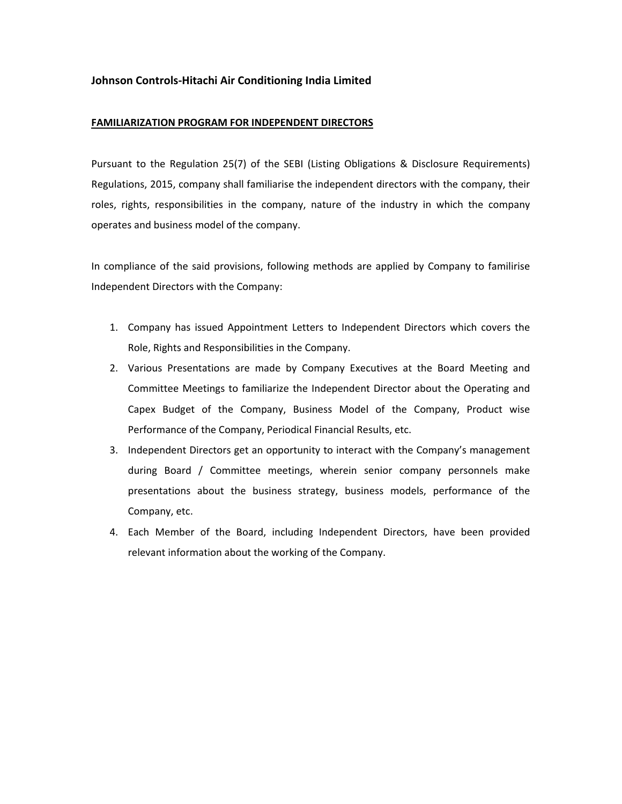## **Johnson Controls‐Hitachi Air Conditioning India Limited**

## **FAMILIARIZATION PROGRAM FOR INDEPENDENT DIRECTORS**

Pursuant to the Regulation 25(7) of the SEBI (Listing Obligations & Disclosure Requirements) Regulations, 2015, company shall familiarise the independent directors with the company, their roles, rights, responsibilities in the company, nature of the industry in which the company operates and business model of the company.

In compliance of the said provisions, following methods are applied by Company to familirise Independent Directors with the Company:

- 1. Company has issued Appointment Letters to Independent Directors which covers the Role, Rights and Responsibilities in the Company.
- 2. Various Presentations are made by Company Executives at the Board Meeting and Committee Meetings to familiarize the Independent Director about the Operating and Capex Budget of the Company, Business Model of the Company, Product wise Performance of the Company, Periodical Financial Results, etc.
- 3. Independent Directors get an opportunity to interact with the Company's management during Board / Committee meetings, wherein senior company personnels make presentations about the business strategy, business models, performance of the Company, etc.
- 4. Each Member of the Board, including Independent Directors, have been provided relevant information about the working of the Company.